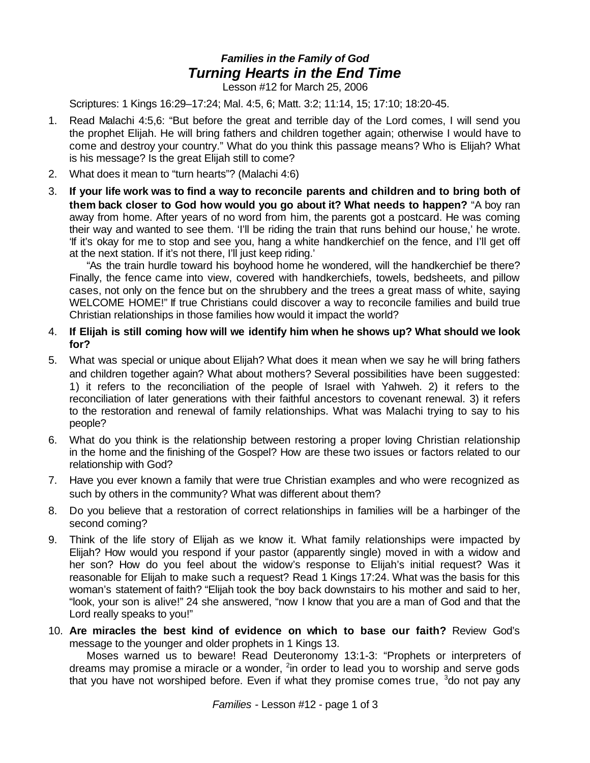## *Families in the Family of God Turning Hearts in the End Time*

Lesson #12 for March 25, 2006

Scriptures: 1 Kings 16:29–17:24; Mal. 4:5, 6; Matt. 3:2; 11:14, 15; 17:10; 18:20-45.

- 1. Read Malachi 4:5,6: "But before the great and terrible day of the Lord comes, I will send you the prophet Elijah. He will bring fathers and children together again; otherwise I would have to come and destroy your country." What do you think this passage means? Who is Elijah? What is his message? Is the great Elijah still to come?
- 2. What does it mean to "turn hearts"? (Malachi 4:6)
- 3. **If your life work was to find a way to reconcile parents and children and to bring both of them back closer to God how would you go about it? What needs to happen?** "A boy ran away from home. After years of no word from him, the parents got a postcard. He was coming their way and wanted to see them. 'I'll be riding the train that runs behind our house,' he wrote. 'If it's okay for me to stop and see you, hang a white handkerchief on the fence, and I'll get off at the next station. If it's not there, I'll just keep riding.'

"As the train hurdle toward his boyhood home he wondered, will the handkerchief be there? Finally, the fence came into view, covered with handkerchiefs, towels, bedsheets, and pillow cases, not only on the fence but on the shrubbery and the trees a great mass of white, saying WELCOME HOME!" If true Christians could discover a way to reconcile families and build true Christian relationships in those families how would it impact the world?

- 4. **If Elijah is still coming how will we identify him when he shows up? What should we look for?**
- 5. What was special or unique about Elijah? What does it mean when we say he will bring fathers and children together again? What about mothers? Several possibilities have been suggested: 1) it refers to the reconciliation of the people of Israel with Yahweh. 2) it refers to the reconciliation of later generations with their faithful ancestors to covenant renewal. 3) it refers to the restoration and renewal of family relationships. What was Malachi trying to say to his people?
- 6. What do you think is the relationship between restoring a proper loving Christian relationship in the home and the finishing of the Gospel? How are these two issues or factors related to our relationship with God?
- 7. Have you ever known a family that were true Christian examples and who were recognized as such by others in the community? What was different about them?
- 8. Do you believe that a restoration of correct relationships in families will be a harbinger of the second coming?
- 9. Think of the life story of Elijah as we know it. What family relationships were impacted by Elijah? How would you respond if your pastor (apparently single) moved in with a widow and her son? How do you feel about the widow's response to Elijah's initial request? Was it reasonable for Elijah to make such a request? Read 1 Kings 17:24. What was the basis for this woman's statement of faith? "Elijah took the boy back downstairs to his mother and said to her, "look, your son is alive!" 24 she answered, "now I know that you are a man of God and that the Lord really speaks to you!"
- 10. **Are miracles the best kind of evidence on which to base our faith?** Review God's message to the younger and older prophets in 1 Kings 13.

Moses warned us to beware! Read Deuteronomy 13:1-3: "Prophets or interpreters of dreams may promise a miracle or a wonder, <sup>2</sup>in order to lead you to worship and serve gods that you have not worshiped before. Even if what they promise comes true,  $3d$ o not pay any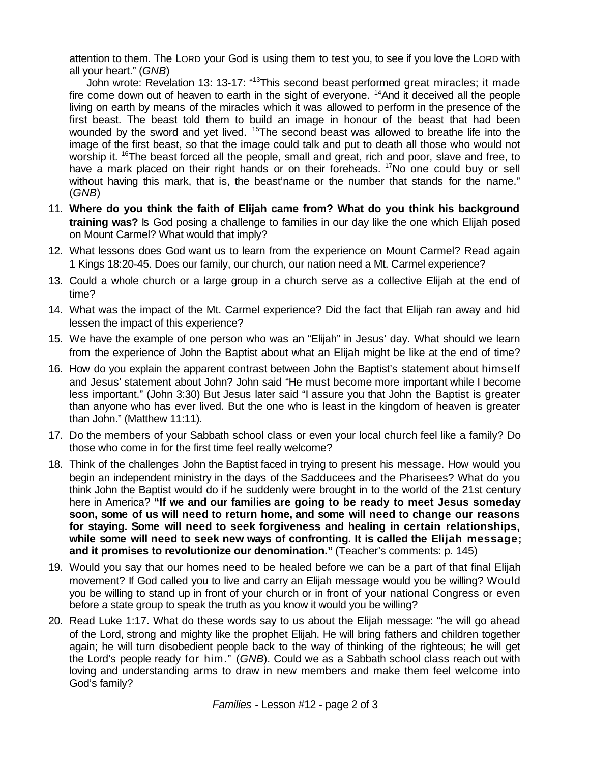attention to them. The LORD your God is using them to test you, to see if you love the LORD with all your heart." (*GNB*)

John wrote: Revelation 13: 13-17: "<sup>13</sup>This second beast performed great miracles; it made fire come down out of heaven to earth in the sight of everyone. <sup>14</sup>And it deceived all the people living on earth by means of the miracles which it was allowed to perform in the presence of the first beast. The beast told them to build an image in honour of the beast that had been wounded by the sword and yet lived. <sup>15</sup>The second beast was allowed to breathe life into the image of the first beast, so that the image could talk and put to death all those who would not worship it. <sup>16</sup>The beast forced all the people, small and great, rich and poor, slave and free, to have a mark placed on their right hands or on their foreheads. <sup>17</sup>No one could buy or sell without having this mark, that is, the beast'name or the number that stands for the name." (*GNB*)

- 11. **Where do you think the faith of Elijah came from? What do you think his background training was?** Is God posing a challenge to families in our day like the one which Elijah posed on Mount Carmel? What would that imply?
- 12. What lessons does God want us to learn from the experience on Mount Carmel? Read again 1 Kings 18:20-45. Does our family, our church, our nation need a Mt. Carmel experience?
- 13. Could a whole church or a large group in a church serve as a collective Elijah at the end of time?
- 14. What was the impact of the Mt. Carmel experience? Did the fact that Elijah ran away and hid lessen the impact of this experience?
- 15. We have the example of one person who was an "Elijah" in Jesus' day. What should we learn from the experience of John the Baptist about what an Elijah might be like at the end of time?
- 16. How do you explain the apparent contrast between John the Baptist's statement about himself and Jesus' statement about John? John said "He must become more important while I become less important." (John 3:30) But Jesus later said "I assure you that John the Baptist is greater than anyone who has ever lived. But the one who is least in the kingdom of heaven is greater than John." (Matthew 11:11).
- 17. Do the members of your Sabbath school class or even your local church feel like a family? Do those who come in for the first time feel really welcome?
- 18. Think of the challenges John the Baptist faced in trying to present his message. How would you begin an independent ministry in the days of the Sadducees and the Pharisees? What do you think John the Baptist would do if he suddenly were brought in to the world of the 21st century here in America? **"If we and our families are going to be ready to meet Jesus someday soon, some of us will need to return home, and some will need to change our reasons for staying. Some will need to seek forgiveness and healing in certain relationships, while some will need to seek new ways of confronting. It is called the Elijah message; and it promises to revolutionize our denomination."** (Teacher's comments: p. 145)
- 19. Would you say that our homes need to be healed before we can be a part of that final Elijah movement? If God called you to live and carry an Elijah message would you be willing? Would you be willing to stand up in front of your church or in front of your national Congress or even before a state group to speak the truth as you know it would you be willing?
- 20. Read Luke 1:17. What do these words say to us about the Elijah message: "he will go ahead of the Lord, strong and mighty like the prophet Elijah. He will bring fathers and children together again; he will turn disobedient people back to the way of thinking of the righteous; he will get the Lord's people ready for him." (*GNB*). Could we as a Sabbath school class reach out with loving and understanding arms to draw in new members and make them feel welcome into God's family?